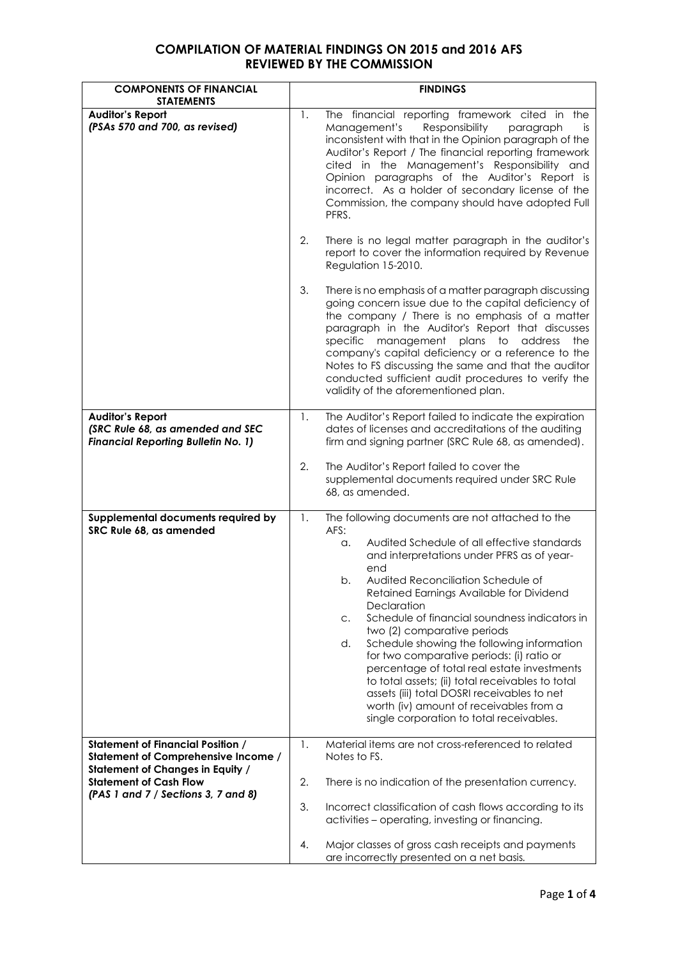| <b>COMPONENTS OF FINANCIAL</b><br><b>STATEMENTS</b>                                                                        |          | <b>FINDINGS</b>                                                                                                                                                                                                                                                                                                                                                                                                                                                                                                                                                                                                                                                                                          |
|----------------------------------------------------------------------------------------------------------------------------|----------|----------------------------------------------------------------------------------------------------------------------------------------------------------------------------------------------------------------------------------------------------------------------------------------------------------------------------------------------------------------------------------------------------------------------------------------------------------------------------------------------------------------------------------------------------------------------------------------------------------------------------------------------------------------------------------------------------------|
| <b>Auditor's Report</b><br>(PSAs 570 and 700, as revised)                                                                  | 1.       | The financial reporting framework cited in the<br>Management's<br>Responsibility<br>paragraph<br>is<br>inconsistent with that in the Opinion paragraph of the<br>Auditor's Report / The financial reporting framework<br>cited in the Management's Responsibility and<br>Opinion paragraphs of the Auditor's Report is<br>incorrect. As a holder of secondary license of the<br>Commission, the company should have adopted Full<br>PFRS.                                                                                                                                                                                                                                                                |
|                                                                                                                            | 2.       | There is no legal matter paragraph in the auditor's<br>report to cover the information required by Revenue<br>Regulation 15-2010.                                                                                                                                                                                                                                                                                                                                                                                                                                                                                                                                                                        |
|                                                                                                                            | 3.       | There is no emphasis of a matter paragraph discussing<br>going concern issue due to the capital deficiency of<br>the company / There is no emphasis of a matter<br>paragraph in the Auditor's Report that discusses<br>management plans to<br>specific<br>address<br>the<br>company's capital deficiency or a reference to the<br>Notes to FS discussing the same and that the auditor<br>conducted sufficient audit procedures to verify the<br>validity of the aforementioned plan.                                                                                                                                                                                                                    |
| <b>Auditor's Report</b><br>(SRC Rule 68, as amended and SEC<br><b>Financial Reporting Bulletin No. 1)</b>                  | 1.       | The Auditor's Report failed to indicate the expiration<br>dates of licenses and accreditations of the auditing<br>firm and signing partner (SRC Rule 68, as amended).                                                                                                                                                                                                                                                                                                                                                                                                                                                                                                                                    |
|                                                                                                                            | 2.       | The Auditor's Report failed to cover the<br>supplemental documents required under SRC Rule<br>68, as amended.                                                                                                                                                                                                                                                                                                                                                                                                                                                                                                                                                                                            |
| Supplemental documents required by<br>SRC Rule 68, as amended                                                              | 1.       | The following documents are not attached to the<br>AFS:<br>Audited Schedule of all effective standards<br>α.<br>and interpretations under PFRS as of year-<br>end<br>Audited Reconciliation Schedule of<br>b.<br>Retained Earnings Available for Dividend<br>Declaration<br>Schedule of financial soundness indicators in<br>C.<br>two (2) comparative periods<br>Schedule showing the following information<br>d.<br>for two comparative periods: (i) ratio or<br>percentage of total real estate investments<br>to total assets; (ii) total receivables to total<br>assets (iii) total DOSRI receivables to net<br>worth (iv) amount of receivables from a<br>single corporation to total receivables. |
| <b>Statement of Financial Position /</b><br>Statement of Comprehensive Income /<br><b>Statement of Changes in Equity /</b> | 1.       | Material items are not cross-referenced to related<br>Notes to FS.                                                                                                                                                                                                                                                                                                                                                                                                                                                                                                                                                                                                                                       |
| <b>Statement of Cash Flow</b><br>(PAS 1 and 7 / Sections 3, 7 and 8)                                                       | 2.<br>3. | There is no indication of the presentation currency.<br>Incorrect classification of cash flows according to its                                                                                                                                                                                                                                                                                                                                                                                                                                                                                                                                                                                          |
|                                                                                                                            | 4.       | activities - operating, investing or financing.<br>Major classes of gross cash receipts and payments                                                                                                                                                                                                                                                                                                                                                                                                                                                                                                                                                                                                     |
|                                                                                                                            |          | are incorrectly presented on a net basis.                                                                                                                                                                                                                                                                                                                                                                                                                                                                                                                                                                                                                                                                |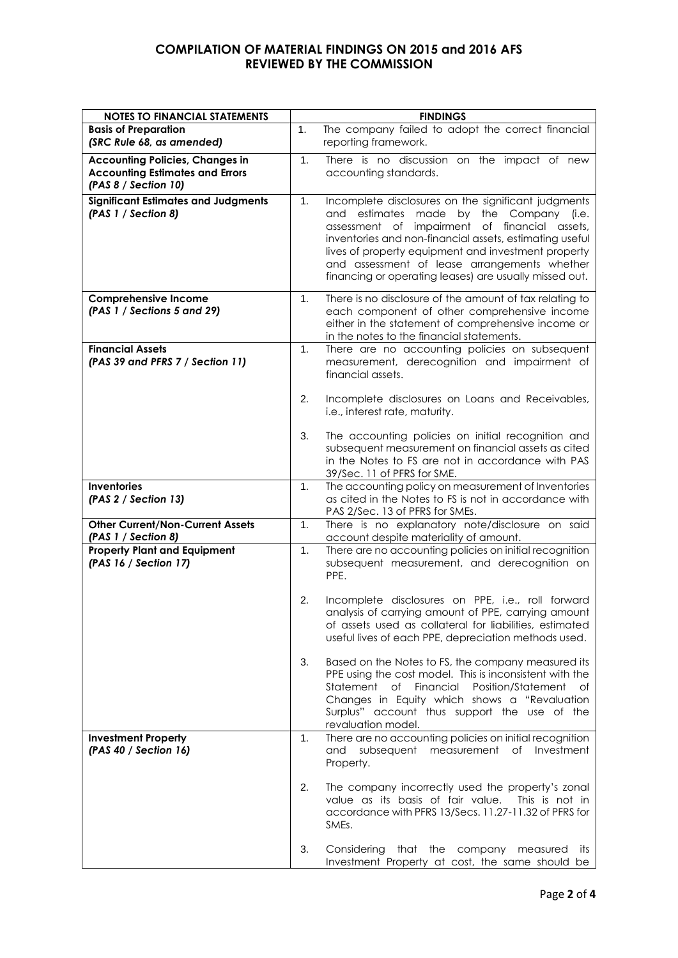| <b>NOTES TO FINANCIAL STATEMENTS</b>                                                                     |    | <b>FINDINGS</b>                                                                                                                                                                                                                                                                                                                                                             |
|----------------------------------------------------------------------------------------------------------|----|-----------------------------------------------------------------------------------------------------------------------------------------------------------------------------------------------------------------------------------------------------------------------------------------------------------------------------------------------------------------------------|
| <b>Basis of Preparation</b><br>(SRC Rule 68, as amended)                                                 | 1. | The company failed to adopt the correct financial<br>reporting framework.                                                                                                                                                                                                                                                                                                   |
| <b>Accounting Policies, Changes in</b><br><b>Accounting Estimates and Errors</b><br>(PAS 8 / Section 10) | 1. | There is no discussion on the impact of new<br>accounting standards.                                                                                                                                                                                                                                                                                                        |
| <b>Significant Estimates and Judgments</b><br>(PAS 1 / Section 8)                                        | 1. | Incomplete disclosures on the significant judgments<br>and estimates made by the Company (i.e.<br>assessment of impairment of financial assets,<br>inventories and non-financial assets, estimating useful<br>lives of property equipment and investment property<br>and assessment of lease arrangements whether<br>financing or operating leases) are usually missed out. |
| <b>Comprehensive Income</b><br>(PAS 1 / Sections 5 and 29)                                               | 1. | There is no disclosure of the amount of tax relating to<br>each component of other comprehensive income<br>either in the statement of comprehensive income or<br>in the notes to the financial statements.                                                                                                                                                                  |
| <b>Financial Assets</b><br>(PAS 39 and PFRS 7 / Section 11)                                              | 1. | There are no accounting policies on subsequent<br>measurement, derecognition and impairment of<br>financial assets.                                                                                                                                                                                                                                                         |
|                                                                                                          | 2. | Incomplete disclosures on Loans and Receivables,<br>i.e., interest rate, maturity.                                                                                                                                                                                                                                                                                          |
|                                                                                                          | 3. | The accounting policies on initial recognition and<br>subsequent measurement on financial assets as cited<br>in the Notes to FS are not in accordance with PAS<br>39/Sec. 11 of PFRS for SME.                                                                                                                                                                               |
| <b>Inventories</b><br>(PAS 2 / Section 13)                                                               | 1. | The accounting policy on measurement of Inventories<br>as cited in the Notes to FS is not in accordance with<br>PAS 2/Sec. 13 of PFRS for SMEs.                                                                                                                                                                                                                             |
| <b>Other Current/Non-Current Assets</b><br>(PAS 1 / Section 8)                                           | 1. | There is no explanatory note/disclosure on said<br>account despite materiality of amount.                                                                                                                                                                                                                                                                                   |
| <b>Property Plant and Equipment</b><br>(PAS 16 / Section 17)                                             | 1. | There are no accounting policies on initial recognition<br>subsequent measurement, and derecognition on<br>PPE.                                                                                                                                                                                                                                                             |
|                                                                                                          | 2. | Incomplete disclosures on PPE, i.e., roll forward<br>analysis of carrying amount of PPE, carrying amount<br>of assets used as collateral for liabilities, estimated<br>useful lives of each PPE, depreciation methods used.                                                                                                                                                 |
|                                                                                                          | 3. | Based on the Notes to FS, the company measured its<br>PPE using the cost model. This is inconsistent with the<br>of Financial Position/Statement<br>Statement<br>of<br>Changes in Equity which shows a "Revaluation<br>Surplus" account thus support the use of the<br>revaluation model.                                                                                   |
| <b>Investment Property</b><br>(PAS 40 / Section 16)                                                      | 1. | There are no accounting policies on initial recognition<br>and subsequent measurement of<br>Investment<br>Property.                                                                                                                                                                                                                                                         |
|                                                                                                          | 2. | The company incorrectly used the property's zonal<br>value as its basis of fair value. This is not in<br>accordance with PFRS 13/Secs. 11.27-11.32 of PFRS for<br>SMEs.                                                                                                                                                                                                     |
|                                                                                                          | 3. | Considering that the company measured<br>its<br>Investment Property at cost, the same should be                                                                                                                                                                                                                                                                             |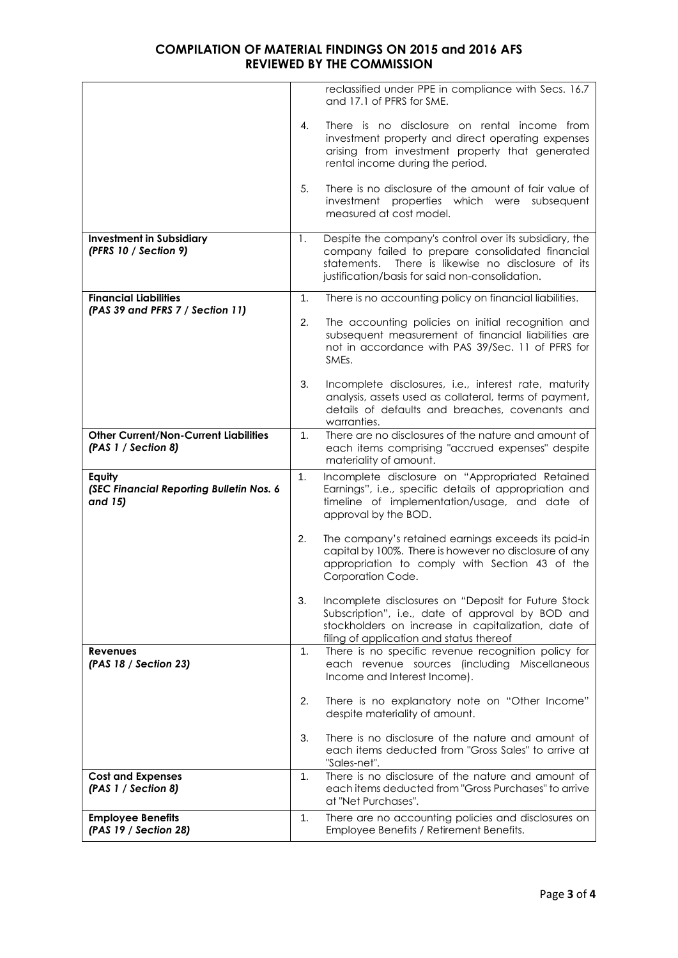|                                                                     |    | reclassified under PPE in compliance with Secs. 16.7<br>and 17.1 of PFRS for SME.                                                                                                                                      |
|---------------------------------------------------------------------|----|------------------------------------------------------------------------------------------------------------------------------------------------------------------------------------------------------------------------|
|                                                                     | 4. | There is no disclosure on rental income from<br>investment property and direct operating expenses<br>arising from investment property that generated<br>rental income during the period.                               |
|                                                                     | 5. | There is no disclosure of the amount of fair value of<br>investment properties which were subsequent<br>measured at cost model.                                                                                        |
| <b>Investment in Subsidiary</b><br>(PFRS 10 / Section 9)            | 1. | Despite the company's control over its subsidiary, the<br>company failed to prepare consolidated financial<br>There is likewise no disclosure of its<br>statements.<br>justification/basis for said non-consolidation. |
| <b>Financial Liabilities</b><br>(PAS 39 and PFRS 7 / Section 11)    | 1. | There is no accounting policy on financial liabilities.                                                                                                                                                                |
|                                                                     | 2. | The accounting policies on initial recognition and<br>subsequent measurement of financial liabilities are<br>not in accordance with PAS 39/Sec. 11 of PFRS for<br>SMEs.                                                |
|                                                                     | 3. | Incomplete disclosures, i.e., interest rate, maturity<br>analysis, assets used as collateral, terms of payment,<br>details of defaults and breaches, covenants and<br>warranties.                                      |
| <b>Other Current/Non-Current Liabilities</b><br>(PAS 1 / Section 8) | 1. | There are no disclosures of the nature and amount of<br>each items comprising "accrued expenses" despite<br>materiality of amount.                                                                                     |
| Equity<br>(SEC Financial Reporting Bulletin Nos. 6<br>and 15)       | 1. | Incomplete disclosure on "Appropriated Retained<br>Earnings", i.e., specific details of appropriation and<br>timeline of implementation/usage, and date of<br>approval by the BOD.                                     |
|                                                                     | 2. | The company's retained earnings exceeds its paid-in<br>capital by 100%. There is however no disclosure of any<br>appropriation to comply with Section 43 of the<br>Corporation Code.                                   |
|                                                                     | 3. | Incomplete disclosures on "Deposit for Future Stock<br>Subscription", i.e., date of approval by BOD and<br>stockholders on increase in capitalization, date of<br>filing of application and status thereof             |
| <b>Revenues</b><br>(PAS 18 / Section 23)                            | 1. | There is no specific revenue recognition policy for<br>each revenue sources (including Miscellaneous<br>Income and Interest Income).                                                                                   |
|                                                                     | 2. | There is no explanatory note on "Other Income"<br>despite materiality of amount.                                                                                                                                       |
|                                                                     | 3. | There is no disclosure of the nature and amount of<br>each items deducted from "Gross Sales" to arrive at<br>"Sales-net".                                                                                              |
| <b>Cost and Expenses</b><br>(PAS 1 / Section 8)                     | 1. | There is no disclosure of the nature and amount of<br>each items deducted from "Gross Purchases" to arrive<br>at "Net Purchases".                                                                                      |
| <b>Employee Benefits</b><br>(PAS 19 / Section 28)                   | 1. | There are no accounting policies and disclosures on<br>Employee Benefits / Retirement Benefits.                                                                                                                        |